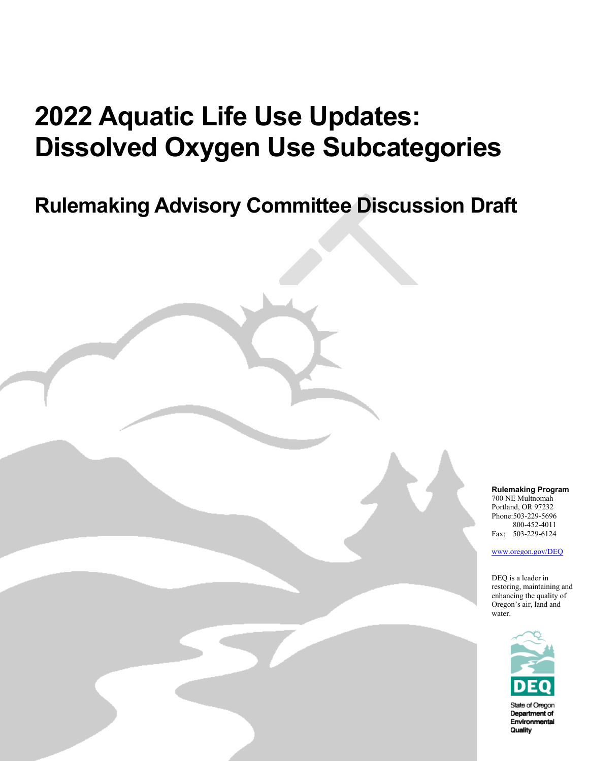# **2022 Aquatic Life Use Updates: Dissolved Oxygen Use Subcategories**

## **Rulemaking Advisory Committee Discussion Draft**

State of Oregon Department of Environmental Quality

**Rulemaking Program** 700 NE Multnomah Portland, OR 97232 Phone:503-229-5696 800-452-4011

Fax: 503-229-6124 [www.oregon.gov/DEQ](file://deqhq1/QNETcsd/Communications/Templates/www.oregon.gov/DEQ)

DEQ is a leader in restoring, maintaining and enhancing the quality of Oregon's air, land and water.



State of Oregor Department of Environmental Quality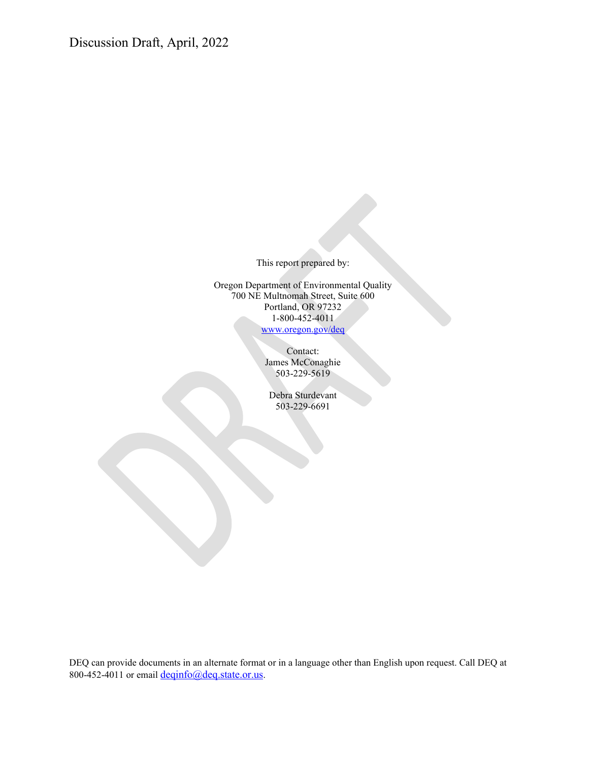Discussion Draft, April, 2022

This report prepared by:

Oregon Department of Environmental Quality 700 NE Multnomah Street, Suite 600 Portland, OR 97232 1-800-452-4011 [www.oregon.gov/deq](http://www.oregon.gov/deq)

> Contact: James McConaghie 503-229-5619

Debra Sturdevant 503-229-6691

DEQ can provide documents in an alternate format or in a language other than English upon request. Call DEQ at 800-452-4011 or emai[l deqinfo@deq.state.or.us.](mailto:deqinfo@deq.state.or.us)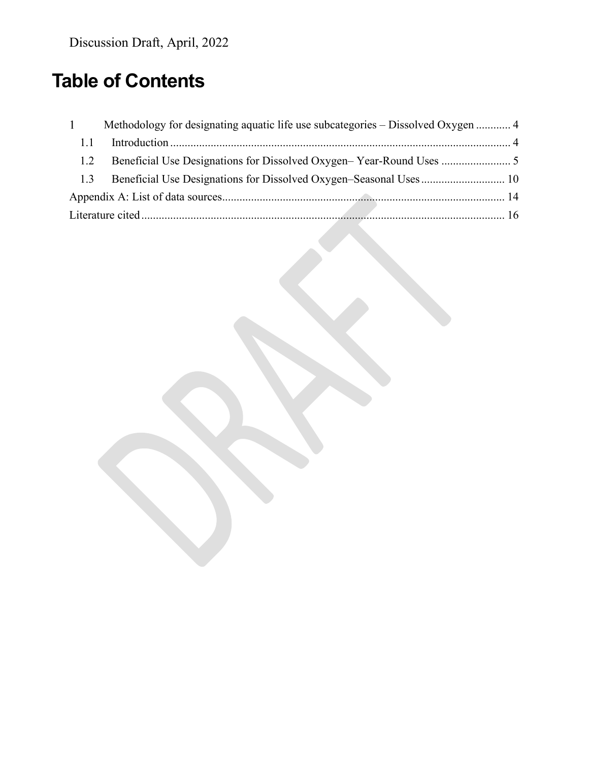### **Table of Contents**

| $\mathbf{1}$ | Methodology for designating aquatic life use subcategories – Dissolved Oxygen  4 |  |
|--------------|----------------------------------------------------------------------------------|--|
| 1.1          |                                                                                  |  |
| 1.2          |                                                                                  |  |
| 1.3          |                                                                                  |  |
|              |                                                                                  |  |
|              |                                                                                  |  |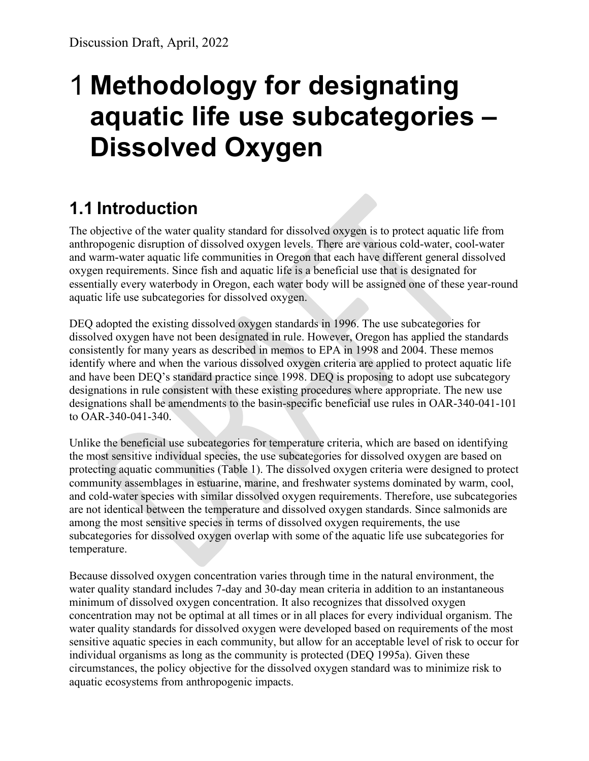# <span id="page-3-0"></span>**Methodology for designating aquatic life use subcategories – Dissolved Oxygen**

### <span id="page-3-1"></span>**1.1 Introduction**

The objective of the water quality standard for dissolved oxygen is to protect aquatic life from anthropogenic disruption of dissolved oxygen levels. There are various cold-water, cool-water and warm-water aquatic life communities in Oregon that each have different general dissolved oxygen requirements. Since fish and aquatic life is a beneficial use that is designated for essentially every waterbody in Oregon, each water body will be assigned one of these year-round aquatic life use subcategories for dissolved oxygen.

DEQ adopted the existing dissolved oxygen standards in 1996. The use subcategories for dissolved oxygen have not been designated in rule. However, Oregon has applied the standards consistently for many years as described in memos to EPA in 1998 and 2004. These memos identify where and when the various dissolved oxygen criteria are applied to protect aquatic life and have been DEQ's standard practice since 1998. DEQ is proposing to adopt use subcategory designations in rule consistent with these existing procedures where appropriate. The new use designations shall be amendments to the basin-specific beneficial use rules in OAR-340-041-101 to OAR-340-041-340.

Unlike the beneficial use subcategories for temperature criteria, which are based on identifying the most sensitive individual species, the use subcategories for dissolved oxygen are based on protecting aquatic communities [\(Table 1\)](#page-4-1). The dissolved oxygen criteria were designed to protect community assemblages in estuarine, marine, and freshwater systems dominated by warm, cool, and cold-water species with similar dissolved oxygen requirements. Therefore, use subcategories are not identical between the temperature and dissolved oxygen standards. Since salmonids are among the most sensitive species in terms of dissolved oxygen requirements, the use subcategories for dissolved oxygen overlap with some of the aquatic life use subcategories for temperature.

Because dissolved oxygen concentration varies through time in the natural environment, the water quality standard includes 7-day and 30-day mean criteria in addition to an instantaneous minimum of dissolved oxygen concentration. It also recognizes that dissolved oxygen concentration may not be optimal at all times or in all places for every individual organism. The water quality standards for dissolved oxygen were developed based on requirements of the most sensitive aquatic species in each community, but allow for an acceptable level of risk to occur for individual organisms as long as the community is protected (DEQ 1995a). Given these circumstances, the policy objective for the dissolved oxygen standard was to minimize risk to aquatic ecosystems from anthropogenic impacts.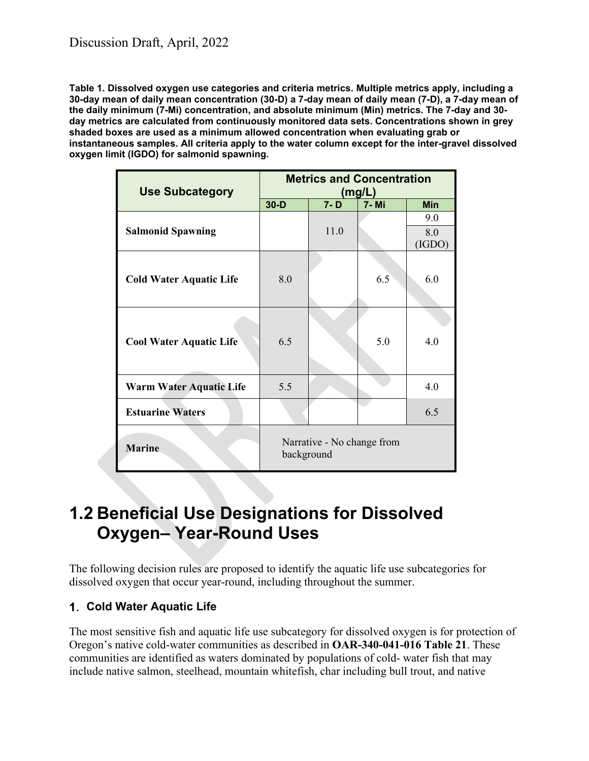<span id="page-4-1"></span>**Table 1. Dissolved oxygen use categories and criteria metrics. Multiple metrics apply, including a 30-day mean of daily mean concentration (30-D) a 7-day mean of daily mean (7-D), a 7-day mean of the daily minimum (7-Mi) concentration, and absolute minimum (Min) metrics. The 7-day and 30 day metrics are calculated from continuously monitored data sets. Concentrations shown in grey shaded boxes are used as a minimum allowed concentration when evaluating grab or instantaneous samples. All criteria apply to the water column except for the inter-gravel dissolved oxygen limit (IGDO) for salmonid spawning.**

| <b>Use Subcategory</b>         | <b>Metrics and Concentration</b><br>(mg/L) |         |       |            |
|--------------------------------|--------------------------------------------|---------|-------|------------|
|                                | $30-D$                                     | $7 - D$ | 7- Mi | <b>Min</b> |
|                                |                                            |         |       | 9.0        |
| <b>Salmonid Spawning</b>       |                                            | 11.0    |       | 8.0        |
|                                |                                            |         |       | (IGDO)     |
|                                |                                            |         |       |            |
| <b>Cold Water Aquatic Life</b> | 8.0                                        |         | 6.5   | 6.0        |
|                                |                                            |         |       |            |
|                                |                                            |         |       |            |
| <b>Cool Water Aquatic Life</b> | 6.5                                        |         | 5.0   | 4.0        |
| Warm Water Aquatic Life        | 5.5                                        |         |       | 4.0        |
| <b>Estuarine Waters</b>        |                                            |         |       | 6.5        |
| <b>Marine</b>                  | Narrative - No change from<br>background   |         |       |            |

### <span id="page-4-0"></span>**1.2 Beneficial Use Designations for Dissolved Oxygen– Year-Round Uses**

The following decision rules are proposed to identify the aquatic life use subcategories for dissolved oxygen that occur year-round, including throughout the summer.

#### **Cold Water Aquatic Life**

The most sensitive fish and aquatic life use subcategory for dissolved oxygen is for protection of Oregon's native cold-water communities as described in **OAR-340-041-016 Table 21**. These communities are identified as waters dominated by populations of cold- water fish that may include native salmon, steelhead, mountain whitefish, char including bull trout, and native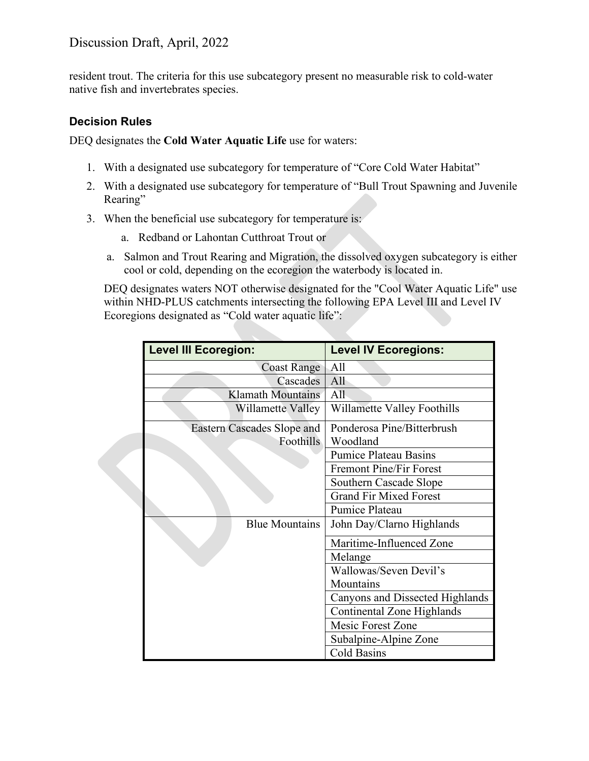#### Discussion Draft, April, 2022

resident trout. The criteria for this use subcategory present no measurable risk to cold-water native fish and invertebrates species.

#### **Decision Rules**

DEQ designates the **Cold Water Aquatic Life** use for waters:

- 1. With a designated use subcategory for temperature of "Core Cold Water Habitat"
- 2. With a designated use subcategory for temperature of "Bull Trout Spawning and Juvenile Rearing"
- 3. When the beneficial use subcategory for temperature is:
	- a. Redband or Lahontan Cutthroat Trout or
	- a. Salmon and Trout Rearing and Migration, the dissolved oxygen subcategory is either cool or cold, depending on the ecoregion the waterbody is located in.

DEQ designates waters NOT otherwise designated for the "Cool Water Aquatic Life" use within NHD-PLUS catchments intersecting the following EPA Level III and Level IV Ecoregions designated as "Cold water aquatic life":

| <b>Level III Ecoregion:</b>          |                                   | <b>Level IV Ecoregions:</b>     |
|--------------------------------------|-----------------------------------|---------------------------------|
|                                      | <b>Coast Range</b>                | All                             |
| Cascades<br><b>Klamath Mountains</b> |                                   | All                             |
|                                      |                                   | $\overline{All}$                |
|                                      | Willamette Valley                 | Willamette Valley Foothills     |
|                                      | <b>Eastern Cascades Slope and</b> | Ponderosa Pine/Bitterbrush      |
|                                      | Foothills                         | Woodland                        |
|                                      |                                   | <b>Pumice Plateau Basins</b>    |
|                                      |                                   | <b>Fremont Pine/Fir Forest</b>  |
|                                      |                                   | Southern Cascade Slope          |
|                                      |                                   | <b>Grand Fir Mixed Forest</b>   |
|                                      |                                   | Pumice Plateau                  |
|                                      | <b>Blue Mountains</b>             | John Day/Clarno Highlands       |
|                                      |                                   | Maritime-Influenced Zone        |
|                                      |                                   | Melange                         |
|                                      |                                   | Wallowas/Seven Devil's          |
|                                      |                                   | Mountains                       |
|                                      |                                   | Canyons and Dissected Highlands |
|                                      |                                   | Continental Zone Highlands      |
|                                      |                                   | Mesic Forest Zone               |
|                                      |                                   | Subalpine-Alpine Zone           |
|                                      |                                   | Cold Basins                     |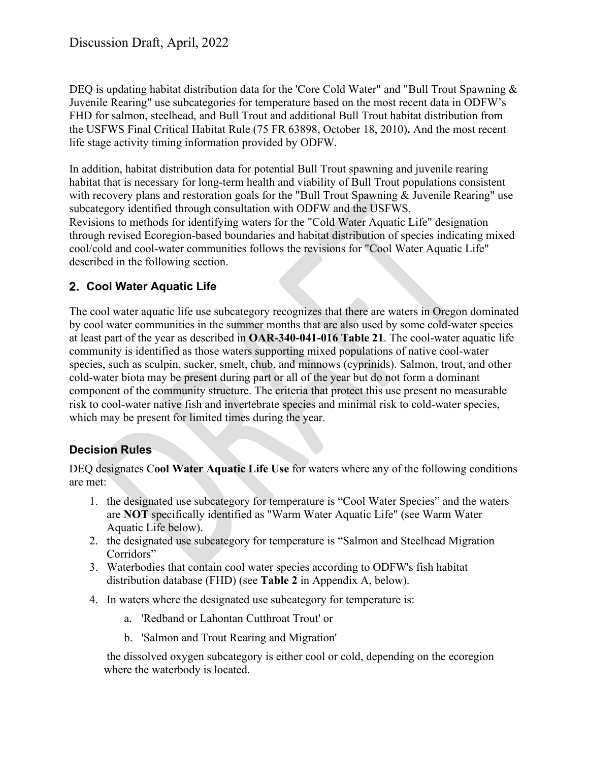DEQ is updating habitat distribution data for the 'Core Cold Water" and "Bull Trout Spawning & Juvenile Rearing" use subcategories for temperature based on the most recent data in ODFW's FHD for salmon, steelhead, and Bull Trout and additional Bull Trout habitat distribution from the USFWS Final Critical Habitat Rule (75 FR 63898, October 18, 2010)**.** And the most recent life stage activity timing information provided by ODFW.

In addition, habitat distribution data for potential Bull Trout spawning and juvenile rearing habitat that is necessary for long-term health and viability of Bull Trout populations consistent with recovery plans and restoration goals for the "Bull Trout Spawning & Juvenile Rearing" use subcategory identified through consultation with ODFW and the USFWS. Revisions to methods for identifying waters for the "Cold Water Aquatic Life" designation through revised Ecoregion-based boundaries and habitat distribution of species indicating mixed cool/cold and cool-water communities follows the revisions for "Cool Water Aquatic Life" described in the following section.

#### **Cool Water Aquatic Life**

The cool water aquatic life use subcategory recognizes that there are waters in Oregon dominated by cool water communities in the summer months that are also used by some cold-water species at least part of the year as described in **OAR-340-041-016 Table 21**. The cool-water aquatic life community is identified as those waters supporting mixed populations of native cool-water species, such as sculpin, sucker, smelt, chub, and minnows (cyprinids). Salmon, trout, and other cold-water biota may be present during part or all of the year but do not form a dominant component of the community structure. The criteria that protect this use present no measurable risk to cool-water native fish and invertebrate species and minimal risk to cold-water species, which may be present for limited times during the year.

#### **Decision Rules**

DEQ designates C**ool Water Aquatic Life Use** for waters where any of the following conditions are met:

- 1. the designated use subcategory for temperature is "Cool Water Species" and the waters are **NOT** specifically identified as "Warm Water Aquatic Life" (see Warm Water Aquatic Life below).
- 2. the designated use subcategory for temperature is "Salmon and Steelhead Migration Corridors"
- 3. Waterbodies that contain cool water species according to ODFW's fish habitat distribution database (FHD) (see **[Table 2](#page-14-0)** in Appendix A, below).
- 4. In waters where the designated use subcategory for temperature is:
	- a. 'Redband or Lahontan Cutthroat Trout' or
	- b. 'Salmon and Trout Rearing and Migration'

the dissolved oxygen subcategory is either cool or cold, depending on the ecoregion where the waterbody is located.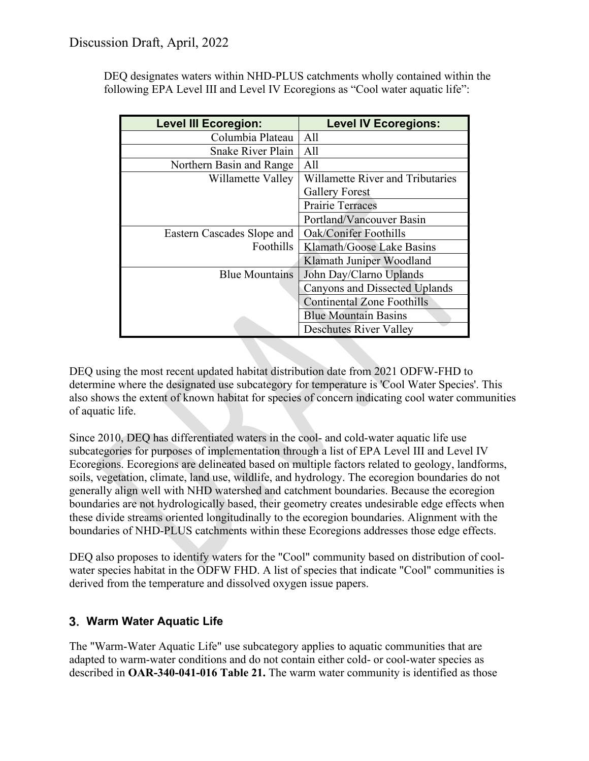DEQ designates waters within NHD-PLUS catchments wholly contained within the following EPA Level III and Level IV Ecoregions as "Cool water aquatic life":

| <b>Level III Ecoregion:</b> | <b>Level IV Ecoregions:</b>          |
|-----------------------------|--------------------------------------|
| Columbia Plateau            | All                                  |
| <b>Snake River Plain</b>    | A11                                  |
| Northern Basin and Range    | All                                  |
| Willamette Valley           | Willamette River and Tributaries     |
|                             | <b>Gallery Forest</b>                |
|                             | <b>Prairie Terraces</b>              |
|                             | Portland/Vancouver Basin             |
| Eastern Cascades Slope and  | Oak/Conifer Foothills                |
| <b>Foothills</b>            | Klamath/Goose Lake Basins            |
|                             | Klamath Juniper Woodland             |
| <b>Blue Mountains</b>       | John Day/Clarno Uplands              |
|                             | <b>Canyons and Dissected Uplands</b> |
|                             | <b>Continental Zone Foothills</b>    |
|                             | <b>Blue Mountain Basins</b>          |
|                             | <b>Deschutes River Valley</b>        |

DEQ using the most recent updated habitat distribution date from 2021 ODFW-FHD to determine where the designated use subcategory for temperature is 'Cool Water Species'. This also shows the extent of known habitat for species of concern indicating cool water communities of aquatic life.

Since 2010, DEQ has differentiated waters in the cool- and cold-water aquatic life use subcategories for purposes of implementation through a list of EPA Level III and Level IV Ecoregions. Ecoregions are delineated based on multiple factors related to geology, landforms, soils, vegetation, climate, land use, wildlife, and hydrology. The ecoregion boundaries do not generally align well with NHD watershed and catchment boundaries. Because the ecoregion boundaries are not hydrologically based, their geometry creates undesirable edge effects when these divide streams oriented longitudinally to the ecoregion boundaries. Alignment with the boundaries of NHD-PLUS catchments within these Ecoregions addresses those edge effects.

DEQ also proposes to identify waters for the "Cool" community based on distribution of coolwater species habitat in the ODFW FHD. A list of species that indicate "Cool" communities is derived from the temperature and dissolved oxygen issue papers.

#### **Warm Water Aquatic Life**

The "Warm-Water Aquatic Life" use subcategory applies to aquatic communities that are adapted to warm-water conditions and do not contain either cold- or cool-water species as described in **OAR-340-041-016 Table 21.** The warm water community is identified as those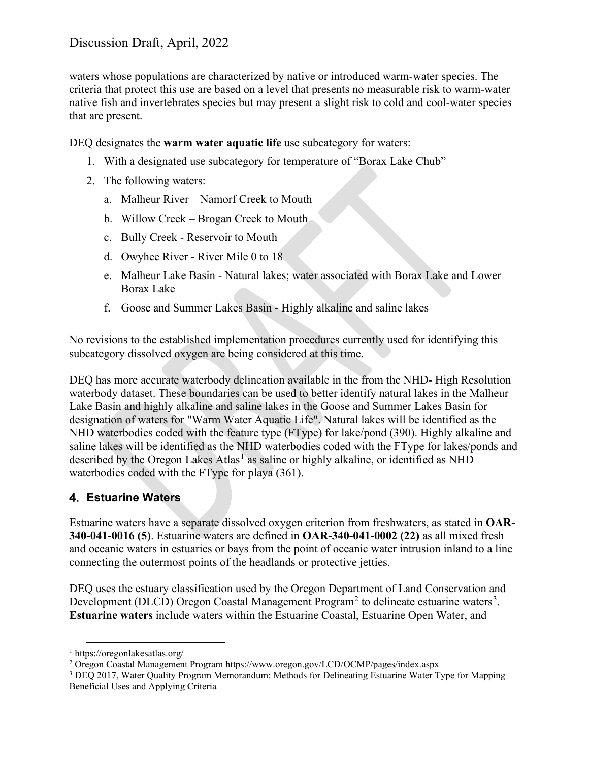waters whose populations are characterized by native or introduced warm-water species. The criteria that protect this use are based on a level that presents no measurable risk to warm-water native fish and invertebrates species but may present a slight risk to cold and cool-water species that are present.

DEQ designates the **warm water aquatic life** use subcategory for waters:

- 1. With a designated use subcategory for temperature of "Borax Lake Chub"
- 2. The following waters:
	- a. Malheur River Namorf Creek to Mouth
	- b. Willow Creek Brogan Creek to Mouth
	- c. Bully Creek Reservoir to Mouth
	- d. Owyhee River River Mile 0 to 18
	- e. Malheur Lake Basin Natural lakes; water associated with Borax Lake and Lower Borax Lake
	- f. Goose and Summer Lakes Basin Highly alkaline and saline lakes

No revisions to the established implementation procedures currently used for identifying this subcategory dissolved oxygen are being considered at this time.

DEQ has more accurate waterbody delineation available in the from the NHD- High Resolution waterbody dataset. These boundaries can be used to better identify natural lakes in the Malheur Lake Basin and highly alkaline and saline lakes in the Goose and Summer Lakes Basin for designation of waters for "Warm Water Aquatic Life". Natural lakes will be identified as the NHD waterbodies coded with the feature type (FType) for lake/pond (390). Highly alkaline and saline lakes will be identified as the NHD waterbodies coded with the FType for lakes/ponds and described by the Oregon Lakes Atlas<sup>[1](#page-8-0)</sup> as saline or highly alkaline, or identified as NHD waterbodies coded with the FType for playa (361).

#### **Estuarine Waters**

Estuarine waters have a separate dissolved oxygen criterion from freshwaters, as stated in **OAR-340-041-0016 (5)**. Estuarine waters are defined in **OAR-340-041-0002 (22)** as all mixed fresh and oceanic waters in estuaries or bays from the point of oceanic water intrusion inland to a line connecting the outermost points of the headlands or protective jetties.

DEQ uses the estuary classification used by the Oregon Department of Land Conservation and Development (DLCD) Oregon Coastal Management Program<sup>[2](#page-8-1)</sup> to delineate estuarine waters<sup>[3](#page-8-2)</sup>. **Estuarine waters** include waters within the Estuarine Coastal, Estuarine Open Water, and

<span id="page-8-0"></span><sup>1</sup> https://oregonlakesatlas.org/

<span id="page-8-1"></span><sup>2</sup> Oregon Coastal Management Program https://www.oregon.gov/LCD/OCMP/pages/index.aspx

<span id="page-8-2"></span><sup>3</sup> DEQ 2017, Water Quality Program Memorandum: Methods for Delineating Estuarine Water Type for Mapping Beneficial Uses and Applying Criteria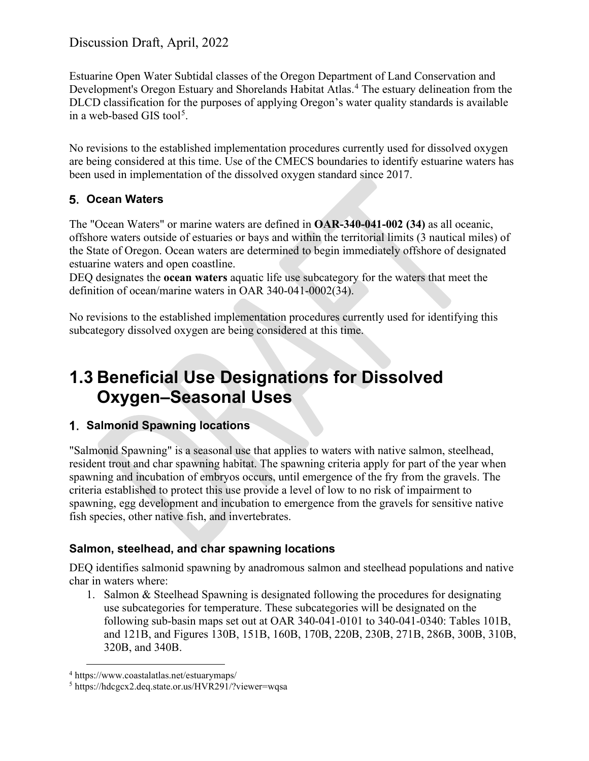Estuarine Open Water Subtidal classes of the Oregon Department of Land Conservation and Development's Oregon Estuary and Shorelands Habitat Atlas. [4](#page-9-1) The estuary delineation from the DLCD classification for the purposes of applying Oregon's water quality standards is available in a web-based GIS tool<sup>[5](#page-9-2)</sup>.

No revisions to the established implementation procedures currently used for dissolved oxygen are being considered at this time. Use of the CMECS boundaries to identify estuarine waters has been used in implementation of the dissolved oxygen standard since 2017.

#### **Ocean Waters**

The "Ocean Waters" or marine waters are defined in **OAR-340-041-002 (34)** as all oceanic, offshore waters outside of estuaries or bays and within the territorial limits (3 nautical miles) of the State of Oregon. Ocean waters are determined to begin immediately offshore of designated estuarine waters and open coastline.

DEQ designates the **ocean waters** aquatic life use subcategory for the waters that meet the definition of ocean/marine waters in OAR 340-041-0002(34).

No revisions to the established implementation procedures currently used for identifying this subcategory dissolved oxygen are being considered at this time.

### <span id="page-9-0"></span>**1.3 Beneficial Use Designations for Dissolved Oxygen–Seasonal Uses**

#### **Salmonid Spawning locations**

"Salmonid Spawning" is a seasonal use that applies to waters with native salmon, steelhead, resident trout and char spawning habitat. The spawning criteria apply for part of the year when spawning and incubation of embryos occurs, until emergence of the fry from the gravels. The criteria established to protect this use provide a level of low to no risk of impairment to spawning, egg development and incubation to emergence from the gravels for sensitive native fish species, other native fish, and invertebrates.

#### **Salmon, steelhead, and char spawning locations**

DEQ identifies salmonid spawning by anadromous salmon and steelhead populations and native char in waters where:

1. Salmon & Steelhead Spawning is designated following the procedures for designating use subcategories for temperature. These subcategories will be designated on the following sub-basin maps set out at OAR 340-041-0101 to 340-041-0340: Tables 101B, and 121B, and Figures 130B, 151B, 160B, 170B, 220B, 230B, 271B, 286B, 300B, 310B, 320B, and 340B.

<span id="page-9-1"></span><sup>4</sup> https://www.coastalatlas.net/estuarymaps/

<span id="page-9-2"></span><sup>5</sup> https://hdcgcx2.deq.state.or.us/HVR291/?viewer=wqsa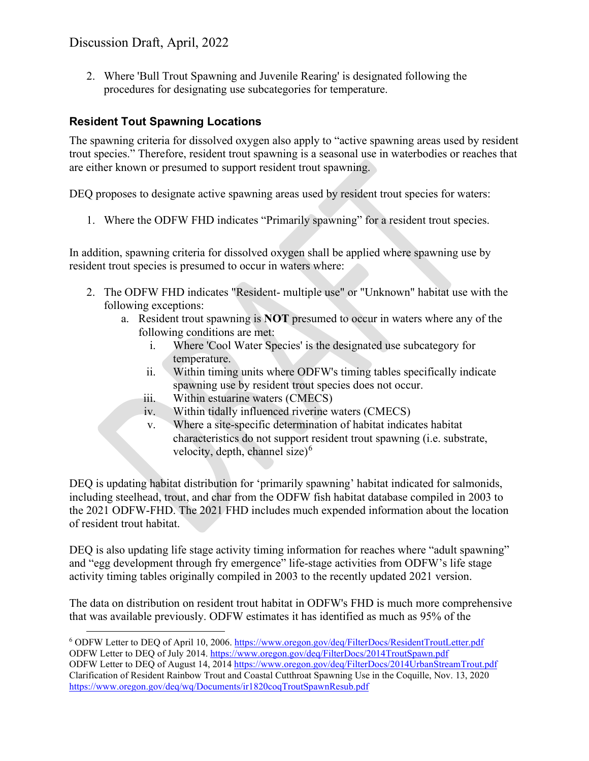2. Where 'Bull Trout Spawning and Juvenile Rearing' is designated following the procedures for designating use subcategories for temperature.

#### **Resident Tout Spawning Locations**

The spawning criteria for dissolved oxygen also apply to "active spawning areas used by resident trout species." Therefore, resident trout spawning is a seasonal use in waterbodies or reaches that are either known or presumed to support resident trout spawning.

DEQ proposes to designate active spawning areas used by resident trout species for waters:

1. Where the ODFW FHD indicates "Primarily spawning" for a resident trout species.

In addition, spawning criteria for dissolved oxygen shall be applied where spawning use by resident trout species is presumed to occur in waters where:

- 2. The ODFW FHD indicates "Resident- multiple use" or "Unknown" habitat use with the following exceptions:
	- a. Resident trout spawning is **NOT** presumed to occur in waters where any of the following conditions are met:
		- i. Where 'Cool Water Species' is the designated use subcategory for temperature.
		- ii. Within timing units where ODFW's timing tables specifically indicate spawning use by resident trout species does not occur.
		- iii. Within estuarine waters (CMECS)
		- iv. Within tidally influenced riverine waters (CMECS)
		- v. Where a site-specific determination of habitat indicates habitat characteristics do not support resident trout spawning (i.e. substrate, velocity, depth, channel size $6<sup>6</sup>$  $6<sup>6</sup>$

DEQ is updating habitat distribution for 'primarily spawning' habitat indicated for salmonids, including steelhead, trout, and char from the ODFW fish habitat database compiled in 2003 to the 2021 ODFW-FHD. The 2021 FHD includes much expended information about the location of resident trout habitat.

DEQ is also updating life stage activity timing information for reaches where "adult spawning" and "egg development through fry emergence" life-stage activities from ODFW's life stage activity timing tables originally compiled in 2003 to the recently updated 2021 version.

The data on distribution on resident trout habitat in ODFW's FHD is much more comprehensive that was available previously. ODFW estimates it has identified as much as 95% of the

<span id="page-10-0"></span><sup>6</sup> ODFW Letter to DEQ of April 10, 2006.<https://www.oregon.gov/deq/FilterDocs/ResidentTroutLetter.pdf> ODFW Letter to DEQ of July 2014[. https://www.oregon.gov/deq/FilterDocs/2014TroutSpawn.pdf](https://www.oregon.gov/deq/FilterDocs/2014TroutSpawn.pdf) ODFW Letter to DEQ of August 14, 201[4 https://www.oregon.gov/deq/FilterDocs/2014UrbanStreamTrout.pdf](https://www.oregon.gov/deq/FilterDocs/2014UrbanStreamTrout.pdf) Clarification of Resident Rainbow Trout and Coastal Cutthroat Spawning Use in the Coquille, Nov. 13, 2020 <https://www.oregon.gov/deq/wq/Documents/ir1820coqTroutSpawnResub.pdf>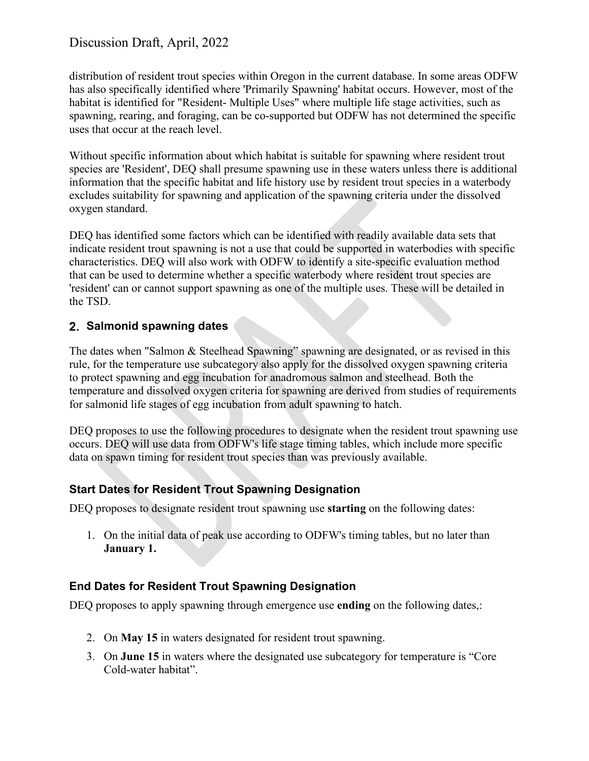distribution of resident trout species within Oregon in the current database. In some areas ODFW has also specifically identified where 'Primarily Spawning' habitat occurs. However, most of the habitat is identified for "Resident- Multiple Uses" where multiple life stage activities, such as spawning, rearing, and foraging, can be co-supported but ODFW has not determined the specific uses that occur at the reach level.

Without specific information about which habitat is suitable for spawning where resident trout species are 'Resident', DEQ shall presume spawning use in these waters unless there is additional information that the specific habitat and life history use by resident trout species in a waterbody excludes suitability for spawning and application of the spawning criteria under the dissolved oxygen standard.

DEQ has identified some factors which can be identified with readily available data sets that indicate resident trout spawning is not a use that could be supported in waterbodies with specific characteristics. DEQ will also work with ODFW to identify a site-specific evaluation method that can be used to determine whether a specific waterbody where resident trout species are 'resident' can or cannot support spawning as one of the multiple uses. These will be detailed in the TSD.

#### **Salmonid spawning dates**

The dates when "Salmon & Steelhead Spawning" spawning are designated, or as revised in this rule, for the temperature use subcategory also apply for the dissolved oxygen spawning criteria to protect spawning and egg incubation for anadromous salmon and steelhead. Both the temperature and dissolved oxygen criteria for spawning are derived from studies of requirements for salmonid life stages of egg incubation from adult spawning to hatch.

DEQ proposes to use the following procedures to designate when the resident trout spawning use occurs. DEQ will use data from ODFW's life stage timing tables, which include more specific data on spawn timing for resident trout species than was previously available.

#### **Start Dates for Resident Trout Spawning Designation**

DEQ proposes to designate resident trout spawning use **starting** on the following dates:

1. On the initial data of peak use according to ODFW's timing tables, but no later than **January 1.**

#### **End Dates for Resident Trout Spawning Designation**

DEQ proposes to apply spawning through emergence use **ending** on the following dates,:

- 2. On **May 15** in waters designated for resident trout spawning.
- 3. On **June 15** in waters where the designated use subcategory for temperature is "Core Cold-water habitat".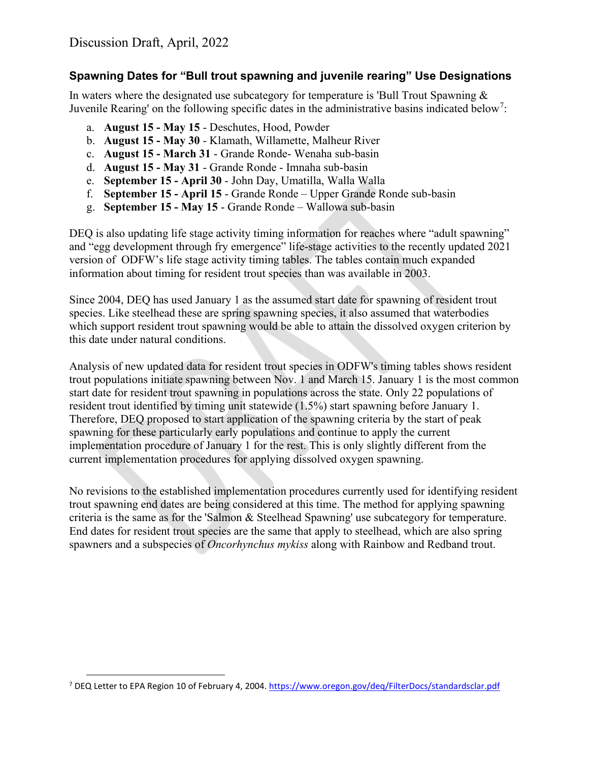#### **Spawning Dates for "Bull trout spawning and juvenile rearing" Use Designations**

In waters where the designated use subcategory for temperature is 'Bull Trout Spawning  $\&$ Juvenile Rearing' on the following specific dates in the administrative basins indicated below<sup>[7](#page-12-0)</sup>:

- a. **August 15 May 15** Deschutes, Hood, Powder
- b. **August 15 May 30** Klamath, Willamette, Malheur River
- c. **August 15 March 31** Grande Ronde- Wenaha sub-basin
- d. **August 15 May 31** Grande Ronde Imnaha sub-basin
- e. **September 15 April 30** John Day, Umatilla, Walla Walla
- f. **September 15 April 15** Grande Ronde Upper Grande Ronde sub-basin
- g. **September 15 May 15** Grande Ronde Wallowa sub-basin

DEQ is also updating life stage activity timing information for reaches where "adult spawning" and "egg development through fry emergence" life-stage activities to the recently updated 2021 version of ODFW's life stage activity timing tables. The tables contain much expanded information about timing for resident trout species than was available in 2003.

Since 2004, DEQ has used January 1 as the assumed start date for spawning of resident trout species. Like steelhead these are spring spawning species, it also assumed that waterbodies which support resident trout spawning would be able to attain the dissolved oxygen criterion by this date under natural conditions.

Analysis of new updated data for resident trout species in ODFW's timing tables shows resident trout populations initiate spawning between Nov. 1 and March 15. January 1 is the most common start date for resident trout spawning in populations across the state. Only 22 populations of resident trout identified by timing unit statewide (1.5%) start spawning before January 1. Therefore, DEQ proposed to start application of the spawning criteria by the start of peak spawning for these particularly early populations and continue to apply the current implementation procedure of January 1 for the rest. This is only slightly different from the current implementation procedures for applying dissolved oxygen spawning.

No revisions to the established implementation procedures currently used for identifying resident trout spawning end dates are being considered at this time. The method for applying spawning criteria is the same as for the 'Salmon & Steelhead Spawning' use subcategory for temperature. End dates for resident trout species are the same that apply to steelhead, which are also spring spawners and a subspecies of *Oncorhynchus mykiss* along with Rainbow and Redband trout.

<span id="page-12-0"></span><sup>7</sup> DEQ Letter to EPA Region 10 of February 4, 2004.<https://www.oregon.gov/deq/FilterDocs/standardsclar.pdf>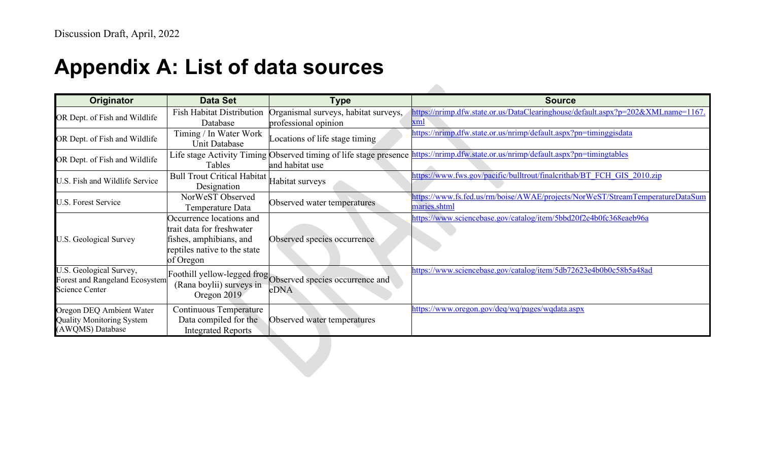## **Appendix A: List of data sources**

<span id="page-13-0"></span>

| Originator                                                                         | <b>Data Set</b>                                                                                                               | Type                                                                                 | <b>Source</b>                                                                                 |
|------------------------------------------------------------------------------------|-------------------------------------------------------------------------------------------------------------------------------|--------------------------------------------------------------------------------------|-----------------------------------------------------------------------------------------------|
| OR Dept. of Fish and Wildlife                                                      | <b>Fish Habitat Distribution</b><br>Database                                                                                  | Organismal surveys, habitat surveys,<br>professional opinion                         | https://nrimp.dfw.state.or.us/DataClearinghouse/default.aspx?p=202&XMLname=1167.<br>xml       |
| OR Dept. of Fish and Wildlife                                                      | Timing / In Water Work<br>Unit Database                                                                                       | Locations of life stage timing                                                       | https://nrimp.dfw.state.or.us/nrimp/default.aspx?pn=timinggisdata                             |
| OR Dept. of Fish and Wildlife                                                      | Tables                                                                                                                        | Life stage Activity Timing Observed timing of life stage presence<br>and habitat use | https://nrimp.dfw.state.or.us/nrimp/default.aspx?pn=timingtables                              |
| U.S. Fish and Wildlife Service                                                     | <b>Bull Trout Critical Habitat</b><br>Designation                                                                             | Habitat surveys                                                                      | https://www.fws.gov/pacific/bulltrout/finalcrithab/BT FCH GIS 2010.zip                        |
| <b>U.S. Forest Service</b>                                                         | NorWeST Observed<br>Temperature Data                                                                                          | Observed water temperatures                                                          | https://www.fs.fed.us/rm/boise/AWAE/projects/NorWeST/StreamTemperatureDataSum<br>maries.shtml |
| U.S. Geological Survey                                                             | Occurrence locations and<br>trait data for freshwater<br>fishes, amphibians, and<br>reptiles native to the state<br>of Oregon | Observed species occurrence                                                          | https://www.sciencebase.gov/catalog/item/5bbd20f2e4b0fc368eaeb96a                             |
| U.S. Geological Survey,<br>Forest and Rangeland Ecosystem<br><b>Science Center</b> | (Rana boylii) surveys in<br>Oregon 2019                                                                                       | Foothill yellow-legged frog Observed species occurrence and<br>eDNA                  | https://www.sciencebase.gov/catalog/item/5db72623e4b0b0c58b5a48ad                             |
| Oregon DEQ Ambient Water<br><b>Quality Monitoring System</b><br>(AWQMS) Database   | Continuous Temperature<br>Data compiled for the<br><b>Integrated Reports</b>                                                  | Observed water temperatures                                                          | https://www.oregon.gov/deq/wq/pages/wqdata.aspx                                               |

 $\mathcal{L}$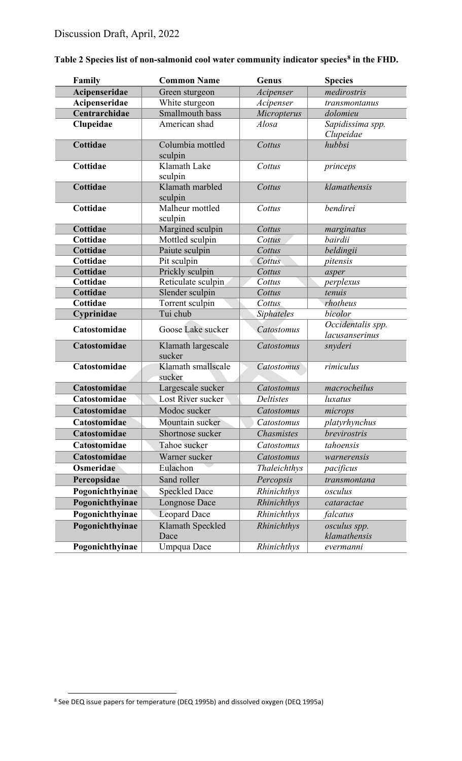| Family          | <b>Common Name</b>           | Genus             | <b>Species</b>                      |
|-----------------|------------------------------|-------------------|-------------------------------------|
| Acipenseridae   | Green sturgeon               | Acipenser         | medirostris                         |
| Acipenseridae   | White sturgeon               | Acipenser         | transmontanus                       |
| Centrarchidae   | Smallmouth bass              | Micropterus       | dolomieu                            |
| Clupeidae       | American shad                | Alosa             | Sapidissima spp.<br>Clupeidae       |
| Cottidae        | Columbia mottled<br>sculpin  | Cottus            | hubbsi                              |
| Cottidae        | Klamath Lake<br>sculpin      | Cottus            | princeps                            |
| Cottidae        | Klamath marbled<br>sculpin   | Cottus            | klamathensis                        |
| Cottidae        | Malheur mottled<br>sculpin   | Cottus            | bendirei                            |
| Cottidae        | Margined sculpin             | Cottus            | marginatus                          |
| Cottidae        | Mottled sculpin              | Cottus            | bairdii                             |
| Cottidae        | Paiute sculpin               | Cottus            | beldingii                           |
| Cottidae        | Pit sculpin                  | Cottus            | pitensis                            |
| Cottidae        | Prickly sculpin              | Cottus            | asper                               |
| Cottidae        | Reticulate sculpin           | Cottus            | perplexus                           |
| Cottidae        | Slender sculpin              | Cottus            | tenuis                              |
| Cottidae        | Torrent sculpin              | Cottus            | rhotheus                            |
| Cyprinidae      | Tui chub                     | Siphateles        | bicolor                             |
| Catostomidae    | Goose Lake sucker            | Catostomus        | Occidentalis spp.<br>lacusanserinus |
| Catostomidae    | Klamath largescale<br>sucker | Catostomus        | snyderi                             |
| Catostomidae    | Klamath smallscale<br>sucker | Catostomus        | rimiculus                           |
| Catostomidae    | Largescale sucker            | Catostomus        | macrocheilus                        |
| Catostomidae    | Lost River sucker            | <b>Deltistes</b>  | luxatus                             |
| Catostomidae    | Modoc sucker                 | Catostomus        | microps                             |
| Catostomidae    | Mountain sucker              | Catostomus        | platyrhynchus                       |
| Catostomidae    | Shortnose sucker             | <b>Chasmistes</b> | brevirostris                        |
| Catostomidae    | Tahoe sucker                 | Catostomus        | tahoensis                           |
| Catostomidae    | Warner sucker                | Catostomus        | warnerensis                         |
| Osmeridae       | Eulachon                     | Thaleichthys      | pacificus                           |
| Percopsidae     | Sand roller                  | Percopsis         | transmontana                        |
| Pogonichthyinae | <b>Speckled Dace</b>         | Rhinichthys       | osculus                             |
| Pogonichthyinae | <b>Longnose Dace</b>         | Rhinichthys       | cataractae                          |
| Pogonichthyinae | <b>Leopard Dace</b>          | Rhinichthys       | falcatus                            |
| Pogonichthyinae | Klamath Speckled<br>Dace     | Rhinichthys       | osculus spp.<br>klamathensis        |
| Pogonichthyinae | Umpqua Dace                  | Rhinichthys       | evermanni                           |

#### <span id="page-14-0"></span>**Table 2 Species list of non-salmonid cool water community indicator species[8](#page-14-1) in the FHD.**

<span id="page-14-1"></span><sup>8</sup> See DEQ issue papers for temperature (DEQ 1995b) and dissolved oxygen (DEQ 1995a)